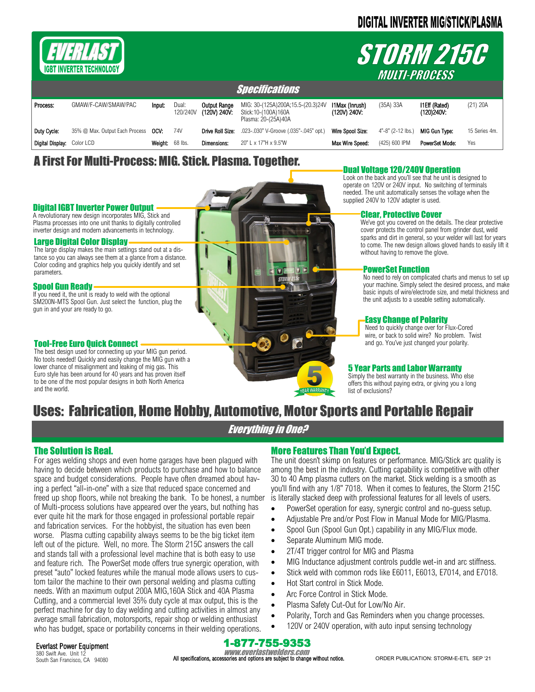# **DIGITAL INVERTER MIG/STICK/PLASMA**



Large Digital Color Display

Digital IGBT Inverter Power Output A revolutionary new design incorporates MIG, Stick and Plasma processes into one unit thanks to digitally controlled inverter design and modern advancements in technology.

Spool Gun Ready

gun in and your are ready to go.

Tool-Free Euro Quick Connect

The large display makes the main settings stand out at a distance so you can always see them at a glance from a distance. Color coding and graphics help you quickly identify and set<br>narameters

If you need it, the unit is ready to weld with the optional SM200N-MTS Spool Gun. Just select the function, plug the

The best design used for connecting up your MIG gun period. No tools needed! Quickly and easily change the MIG gun with a lower chance of misalignment and leaking of mig gas. This Euro style has been around for 40 years and has proven itself to be one of the most popular designs in both North America

# *STORM 215C MULTI-PROCESS*

| <i><b>Specifications</b></i> |                                     |                 |                   |                              |                                                                                 |                                |                          |                                    |               |
|------------------------------|-------------------------------------|-----------------|-------------------|------------------------------|---------------------------------------------------------------------------------|--------------------------------|--------------------------|------------------------------------|---------------|
| Process:                     | GMAW/F-CAW/SMAW/PAC                 | Input:          | Dual:<br>120/240V | Output Range<br>(120V) 240V: | MIG: 30-(125A)200A;15.5-(20.3)24V<br>Stick:10-(100A)160A<br>Plasma: 20-(25A)40A | I1Max (Inrush)<br>(120V) 240V: | $(35A)$ 33A              | <b>I1Eff (Rated)</b><br>(120)240V: | (21) 20A      |
| Duty Cycle:                  | 35% @ Max. Output Each Process OCV: |                 | 74V               | Drive Roll Size:             | .023-.030" V-Groove (.035"-.045" opt.)                                          | Wire Spool Size:               | $4" - 8" (2 - 12)$ lbs.) | <b>MIG Gun Type:</b>               | 15 Series 4m. |
| Digital Display: Color LCD   |                                     | Weight: 68 lbs. |                   | <b>Dimensions:</b>           | $20"$ L x 17"H x 9.5"W                                                          | Max Wire Speed:                | (425) 600 IPM            | <b>PowerSet Mode:</b>              | Yes           |

## A First For Multi-Process: MIG. Stick. Plasma. Together.

## Dual Voltage 120/240V Operation

Look on the back and you'll see that he unit is designed to operate on 120V or 240V input. No switching of terminals needed. The unit automatically senses the voltage when the supplied 240V to 120V adapter is used.

### Clear, Protective Cover

We've got you covered on the details. The clear protective cover protects the control panel from grinder dust, weld sparks and dirt in general, so your welder will last for years to come. The new design allows gloved hands to easily lift it without having to remove the glove.

### **PowerSet Function**

No need to rely on complicated charts and menus to set up your machine. Simply select the desired process, and make basic inputs of wire/electrode size, and metal thickness and the unit adjusts to a useable setting automatically.

### Easy Change of Polarity

Need to quickly change over for Flux-Cored wire, or back to solid wire? No problem. Twist and go. You've just changed your polarity.

### 5 Year Parts and Labor Warranty

Simply the best warranty in the business. Who else offers this without paying extra, or giving you a long list of exclusions?

# Uses: Fabrication, Home Hobby, Automotive, Motor Sports and Portable Repair

Everything in One?

## The Solution is Real.

and the world.

For ages welding shops and even home garages have been plagued with having to decide between which products to purchase and how to balance space and budget considerations. People have often dreamed about having a perfect "all-in-one" with a size that reduced space concerned and freed up shop floors, while not breaking the bank. To be honest, a number of Multi-process solutions have appeared over the years, but nothing has ever quite hit the mark for those engaged in professional portable repair and fabrication services. For the hobbyist, the situation has even been worse. Plasma cutting capability always seems to be the big ticket item left out of the picture. Well, no more. The Storm 215C answers the call and stands tall with a professional level machine that is both easy to use and feature rich. The PowerSet mode offers true synergic operation, with preset "auto" locked features while the manual mode allows users to custom tailor the machine to their own personal welding and plasma cutting needs. With an maximum output 200A MIG,160A Stick and 40A Plasma Cutting, and a commercial level 35% duty cycle at max output, this is the perfect machine for day to day welding and cutting activities in almost any average small fabrication, motorsports, repair shop or welding enthusiast who has budget, space or portability concerns in their welding operations.

## More Features Than You'd Expect.

The unit doesn't skimp on features or performance. MIG/Stick arc quality is among the best in the industry. Cutting capability is competitive with other 30 to 40 Amp plasma cutters on the market. Stick welding is a smooth as you'll find with any 1/8" 7018. When it comes to features, the Storm 215C is literally stacked deep with professional features for all levels of users.

- PowerSet operation for easy, synergic control and no-guess setup.
- Adjustable Pre and/or Post Flow in Manual Mode for MIG/Plasma.
- Spool Gun (Spool Gun Opt.) capability in any MIG/Flux mode.
- Separate Aluminum MIG mode.
- 2T/4T trigger control for MIG and Plasma
- MIG Inductance adjustment controls puddle wet-in and arc stiffness.
- Stick weld with common rods like E6011, E6013, E7014, and E7018.
- Hot Start control in Stick Mode.
- Arc Force Control in Stick Mode.
- Plasma Safety Cut-Out for Low/No Air.
- Polarity, Torch and Gas Reminders when you change processes.
- 120V or 240V operation, with auto input sensing technology

Everlast Power Equipment 380 Swift Ave. Unit 12 South San Francisco, CA 94080